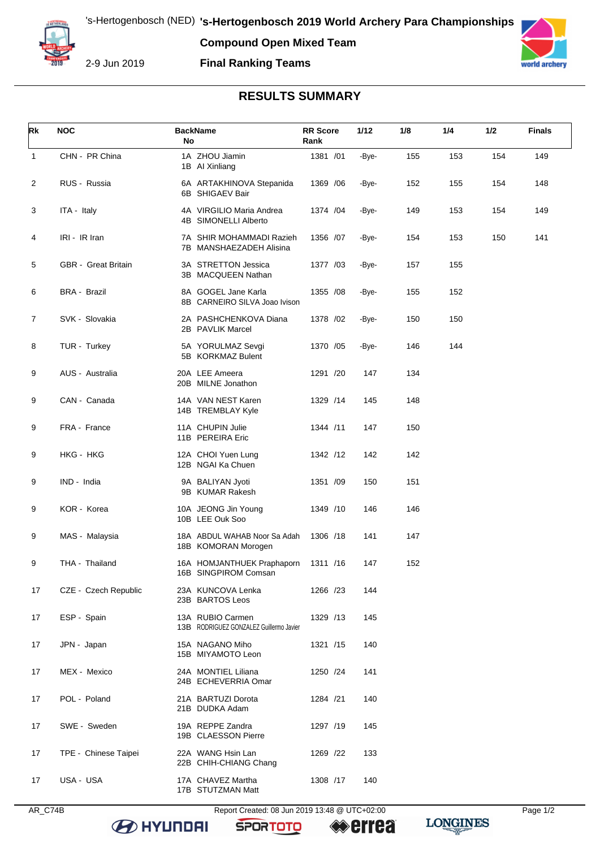**Compound Open Mixed Team**



2-9 Jun 2019

## **Final Ranking Teams**



## **RESULTS SUMMARY**

| Rk             | <b>NOC</b>                 | <b>BackName</b><br>No                                       | <b>RR Score</b><br>Rank | 1/12  | 1/8 | 1/4 | 1/2 | <b>Finals</b> |
|----------------|----------------------------|-------------------------------------------------------------|-------------------------|-------|-----|-----|-----|---------------|
| $\mathbf{1}$   | CHN - PR China             | 1A ZHOU Jiamin<br>1B Al Xinliang                            | 1381 /01                | -Bye- | 155 | 153 | 154 | 149           |
| 2              | RUS - Russia               | 6A ARTAKHINOVA Stepanida<br>6B SHIGAEV Bair                 | 1369 / 06               | -Bye- | 152 | 155 | 154 | 148           |
| 3              | ITA - Italy                | 4A VIRGILIO Maria Andrea<br>4B SIMONELLI Alberto            | 1374 / 04               | -Bye- | 149 | 153 | 154 | 149           |
| 4              | IRI - IR Iran              | 7A SHIR MOHAMMADI Razieh<br>7B MANSHAEZADEH Alisina         | 1356 /07                | -Bye- | 154 | 153 | 150 | 141           |
| 5              | <b>GBR</b> - Great Britain | 3A STRETTON Jessica<br>3B MACQUEEN Nathan                   | 1377 /03                | -Bye- | 157 | 155 |     |               |
| 6              | <b>BRA - Brazil</b>        | 8A GOGEL Jane Karla<br>8B CARNEIRO SILVA Joao Ivison        | 1355 /08                | -Bye- | 155 | 152 |     |               |
| $\overline{7}$ | SVK - Slovakia             | 2A PASHCHENKOVA Diana<br>2B PAVLIK Marcel                   | 1378 / 02               | -Bye- | 150 | 150 |     |               |
| 8              | TUR - Turkey               | 5A YORULMAZ Sevgi<br>5B KORKMAZ Bulent                      | 1370 / 05               | -Bye- | 146 | 144 |     |               |
| 9              | AUS - Australia            | 20A LEE Ameera<br>20B MILNE Jonathon                        | 1291 /20                | 147   | 134 |     |     |               |
| 9              | CAN - Canada               | 14A VAN NEST Karen<br>14B TREMBLAY Kyle                     | 1329 /14                | 145   | 148 |     |     |               |
| 9              | FRA - France               | 11A CHUPIN Julie<br>11B PEREIRA Eric                        | 1344 /11                | 147   | 150 |     |     |               |
| 9              | HKG - HKG                  | 12A CHOI Yuen Lung<br>12B NGAI Ka Chuen                     | 1342 /12                | 142   | 142 |     |     |               |
| 9              | IND - India                | 9A BALIYAN Jyoti<br>9B KUMAR Rakesh                         | 1351 /09                | 150   | 151 |     |     |               |
| 9              | KOR - Korea                | 10A JEONG Jin Young<br>10B LEE Ouk Soo                      | 1349 /10                | 146   | 146 |     |     |               |
| 9              | MAS - Malaysia             | 18A ABDUL WAHAB Noor Sa Adah<br>18B KOMORAN Morogen         | 1306 /18                | 141   | 147 |     |     |               |
| 9              | THA - Thailand             | 16A HOMJANTHUEK Praphaporn<br>16B SINGPIROM Comsan          | 1311 /16                | 147   | 152 |     |     |               |
| 17             | CZE - Czech Republic       | 23A KUNCOVA Lenka<br>23B BARTOS Leos                        | 1266 /23                | 144   |     |     |     |               |
| 17             | ESP - Spain                | 13A RUBIO Carmen<br>13B RODRIGUEZ GONZALEZ Guillermo Javier | 1329 /13                | 145   |     |     |     |               |
| 17             | JPN - Japan                | 15A NAGANO Miho<br>15B MIYAMOTO Leon                        | 1321 /15                | 140   |     |     |     |               |
| 17             | MEX - Mexico               | 24A MONTIEL Liliana<br>24B ECHEVERRIA Omar                  | 1250 /24                | 141   |     |     |     |               |
| 17             | POL - Poland               | 21A BARTUZI Dorota<br>21B DUDKA Adam                        | 1284 /21                | 140   |     |     |     |               |
| 17             | SWE - Sweden               | 19A REPPE Zandra<br>19B CLAESSON Pierre                     | 1297 /19                | 145   |     |     |     |               |
| 17             | TPE - Chinese Taipei       | 22A WANG Hsin Lan<br>22B CHIH-CHIANG Chang                  | 1269 /22                | 133   |     |     |     |               |
| 17             | USA - USA                  | 17A CHAVEZ Martha<br>17B STUTZMAN Matt                      | 1308 /17                | 140   |     |     |     |               |

AR\_C74B Report Created: 08 Jun 2019 13:48 @ UTC+02:00 Page 1/2

**SPORTOTO**